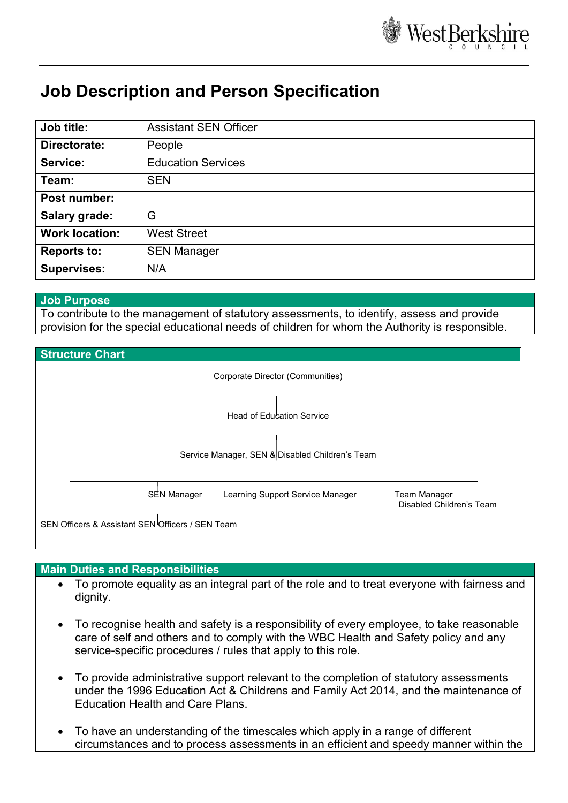

# **Job Description and Person Specification**

| Job title:            | <b>Assistant SEN Officer</b> |
|-----------------------|------------------------------|
| Directorate:          | People                       |
| Service:              | <b>Education Services</b>    |
| Team:                 | <b>SEN</b>                   |
| Post number:          |                              |
| <b>Salary grade:</b>  | G                            |
| <b>Work location:</b> | <b>West Street</b>           |
| <b>Reports to:</b>    | <b>SEN Manager</b>           |
| <b>Supervises:</b>    | N/A                          |

#### **Job Purpose**

To contribute to the management of statutory assessments, to identify, assess and provide provision for the special educational needs of children for whom the Authority is responsible.



# **Main Duties and Responsibilities**

- To promote equality as an integral part of the role and to treat everyone with fairness and dignity.
- To recognise health and safety is a responsibility of every employee, to take reasonable care of self and others and to comply with the WBC Health and Safety policy and any service-specific procedures / rules that apply to this role.
- To provide administrative support relevant to the completion of statutory assessments under the 1996 Education Act & Childrens and Family Act 2014, and the maintenance of Education Health and Care Plans.
- To have an understanding of the timescales which apply in a range of different circumstances and to process assessments in an efficient and speedy manner within the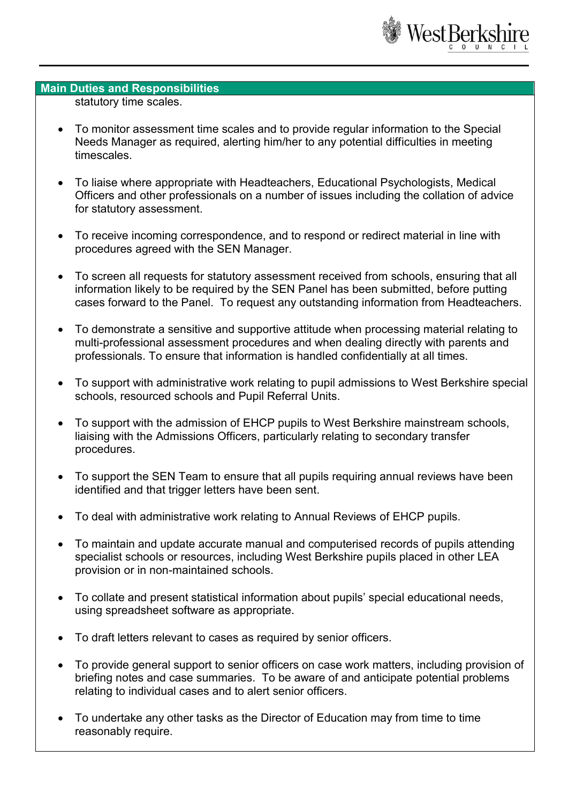

#### **Main Duties and Responsibilities**

statutory time scales.

- To monitor assessment time scales and to provide regular information to the Special Needs Manager as required, alerting him/her to any potential difficulties in meeting timescales.
- To liaise where appropriate with Headteachers, Educational Psychologists, Medical Officers and other professionals on a number of issues including the collation of advice for statutory assessment.
- To receive incoming correspondence, and to respond or redirect material in line with procedures agreed with the SEN Manager.
- To screen all requests for statutory assessment received from schools, ensuring that all information likely to be required by the SEN Panel has been submitted, before putting cases forward to the Panel. To request any outstanding information from Headteachers.
- To demonstrate a sensitive and supportive attitude when processing material relating to multi-professional assessment procedures and when dealing directly with parents and professionals. To ensure that information is handled confidentially at all times.
- To support with administrative work relating to pupil admissions to West Berkshire special schools, resourced schools and Pupil Referral Units.
- To support with the admission of EHCP pupils to West Berkshire mainstream schools, liaising with the Admissions Officers, particularly relating to secondary transfer procedures.
- To support the SEN Team to ensure that all pupils requiring annual reviews have been identified and that trigger letters have been sent.
- To deal with administrative work relating to Annual Reviews of EHCP pupils.
- To maintain and update accurate manual and computerised records of pupils attending specialist schools or resources, including West Berkshire pupils placed in other LEA provision or in non-maintained schools.
- To collate and present statistical information about pupils' special educational needs, using spreadsheet software as appropriate.
- To draft letters relevant to cases as required by senior officers.
- To provide general support to senior officers on case work matters, including provision of briefing notes and case summaries. To be aware of and anticipate potential problems relating to individual cases and to alert senior officers.
- To undertake any other tasks as the Director of Education may from time to time reasonably require.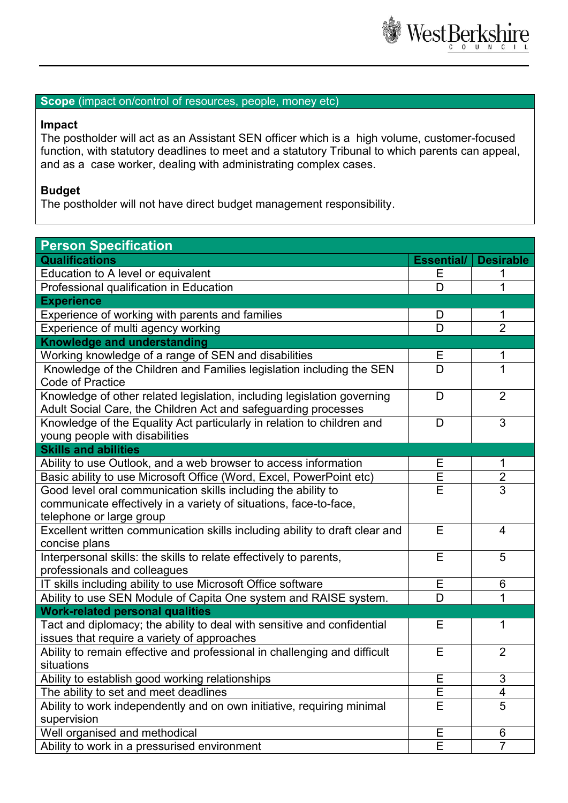

### **Scope** (impact on/control of resources, people, money etc)

## **Impact**

The postholder will act as an Assistant SEN officer which is a high volume, customer-focused function, with statutory deadlines to meet and a statutory Tribunal to which parents can appeal, and as a case worker, dealing with administrating complex cases.

#### **Budget**

The postholder will not have direct budget management responsibility.

| <b>Person Specification</b>                                                                              |        |                         |  |  |
|----------------------------------------------------------------------------------------------------------|--------|-------------------------|--|--|
| <b>Qualifications</b>                                                                                    |        | <b>Desirable</b>        |  |  |
| Education to A level or equivalent                                                                       |        |                         |  |  |
| Professional qualification in Education                                                                  |        |                         |  |  |
| <b>Experience</b>                                                                                        |        |                         |  |  |
| Experience of working with parents and families                                                          |        | 1                       |  |  |
| Experience of multi agency working                                                                       | D      | $\overline{2}$          |  |  |
| <b>Knowledge and understanding</b>                                                                       |        |                         |  |  |
| Working knowledge of a range of SEN and disabilities                                                     |        | 1                       |  |  |
| Knowledge of the Children and Families legislation including the SEN<br><b>Code of Practice</b>          |        | $\overline{1}$          |  |  |
| Knowledge of other related legislation, including legislation governing                                  |        | $\overline{2}$          |  |  |
| Adult Social Care, the Children Act and safeguarding processes                                           |        |                         |  |  |
| Knowledge of the Equality Act particularly in relation to children and<br>young people with disabilities |        | 3                       |  |  |
| <b>Skills and abilities</b>                                                                              |        |                         |  |  |
| Ability to use Outlook, and a web browser to access information                                          |        | 1                       |  |  |
| Basic ability to use Microsoft Office (Word, Excel, PowerPoint etc)                                      | Ε<br>E | $\overline{2}$          |  |  |
| Good level oral communication skills including the ability to                                            | E      | 3                       |  |  |
| communicate effectively in a variety of situations, face-to-face,                                        |        |                         |  |  |
| telephone or large group                                                                                 |        |                         |  |  |
| Excellent written communication skills including ability to draft clear and<br>concise plans             |        | $\overline{4}$          |  |  |
| Interpersonal skills: the skills to relate effectively to parents,                                       |        | 5                       |  |  |
| professionals and colleagues                                                                             |        |                         |  |  |
| IT skills including ability to use Microsoft Office software                                             |        | 6                       |  |  |
| Ability to use SEN Module of Capita One system and RAISE system.                                         | D      | 1                       |  |  |
| <b>Work-related personal qualities</b>                                                                   |        |                         |  |  |
| Tact and diplomacy; the ability to deal with sensitive and confidential                                  | Е      | 1                       |  |  |
| issues that require a variety of approaches                                                              | E      |                         |  |  |
| Ability to remain effective and professional in challenging and difficult                                |        | $\overline{2}$          |  |  |
| situations                                                                                               |        | 3                       |  |  |
| Ability to establish good working relationships                                                          |        | $\overline{\mathbf{4}}$ |  |  |
| The ability to set and meet deadlines                                                                    |        |                         |  |  |
| Ability to work independently and on own initiative, requiring minimal<br>supervision                    |        | 5                       |  |  |
| Well organised and methodical                                                                            |        | $6\phantom{1}$          |  |  |
| Ability to work in a pressurised environment                                                             |        | $\overline{7}$          |  |  |